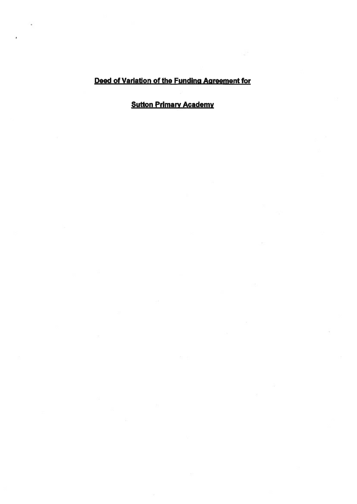## Deed of Variation of the Funding Agreement for

# **Sutton Primary Academy**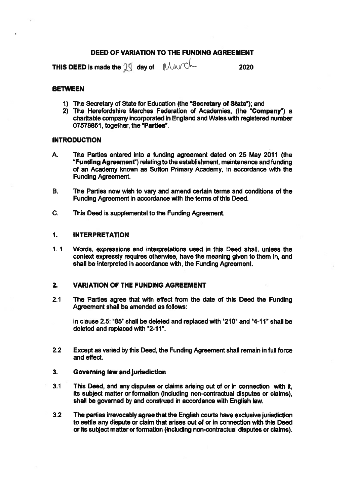#### DEED OF VARIATION TO THE FUNDING AGREEMENT

THIS DEED is made the  $\beta$  day of  $\mu$   $\mu$ 

#### **BETWEEN**

- 1) The Secretary of State for Education (the "Secretary of State"); and
- 2) The Herefordshire Marches Federation of Academies, (the "Company") a charitable company incorporated in England and Wales with registered number 07578861, together, the "Parties".

#### **INTRODUCTION**

- A. The Parties entered into <sup>a</sup> funding agreemen<sup>t</sup> dated on 25 May 2011 (the "Funding Agreement") relating to the establishment, maintenance and funding of an Academy known as Sutton Primary Academy, in accordance with the Funding Agreement.
- 8. The Parties now wish to vary and amend certain terms and conditions of the Funding Agreement in accordance with the terms of this Deed.
- C. This Deed is supplemental to the Funding Agreement.

#### 1. INTERPRETATION

1. 1 Words, expressions and interpretations used in this Deed shall, unless the context expressly requires otherwise, have the meaning given to them in, and shall be interpreted in accordance with, the Funding Agreement.

### 2. VARIATION OF THE FUNDING AGREEMENT

2.1 The Parties agree that with effect from the date of this Deed the Funding Agreement shall be amended as follows:

in clause 2.5: "85" shall be deleted and replaced with "210" and "4-11" shall be deleted and replaced with "2-11".

2.2 Except as varied by this Deed, the Funding Agreement shall remain in full force and effect.

#### 3. Governing law and jurisdiction

- 3.1 This Deed, and any disputes or claims arising out of or in connection with it, its subject matter or formation (including non-contractual disputes or claims), shall be governed by and construed in accordance with English law.
- 3.2 The parties irrevocably agree that the English courts have exclusive jurisdiction to settle any dispute or claim that arises out of or in connection with this Deed or its subject matter or formation (including non-contractual disputes or claims).